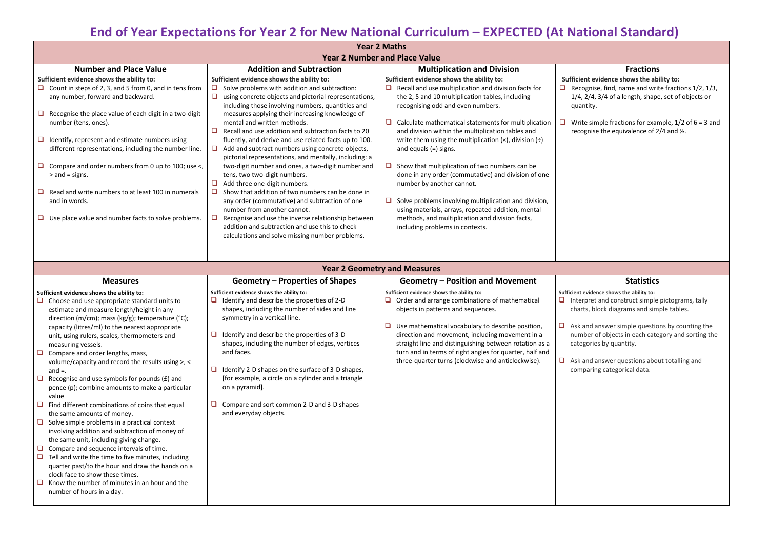# **End of Year Expectations for Year 2 for New National Curriculum – EXPECTED (At National Standard)**

**Sufficient evidence shows the ability to:** ognise, find, name and write fractions 1/2, 1/3, 2/4, 3/4 of a length, shape, set of objects or ntity.

te simple fractions for example,  $1/2$  of  $6 = 3$  and gnise the equivalence of  $2/4$  and  $\frac{1}{2}$ .

**Subseted Evidence shows the ability to:** Interpret and construct simple pictograms, tally ts, block diagrams and simple tables.

and answer simple questions by counting the ber of objects in each category and sorting the gories by quantity.

and answer questions about totalling and paring categorical data.

| <b>Year 2 Maths</b><br><b>Year 2 Number and Place Value</b>                                             |                                                                                                                                                                    |                                                                                                                                               |                                                                                      |  |  |  |
|---------------------------------------------------------------------------------------------------------|--------------------------------------------------------------------------------------------------------------------------------------------------------------------|-----------------------------------------------------------------------------------------------------------------------------------------------|--------------------------------------------------------------------------------------|--|--|--|
|                                                                                                         |                                                                                                                                                                    |                                                                                                                                               |                                                                                      |  |  |  |
| Sufficient evidence shows the ability to:                                                               | Sufficient evidence shows the ability to:                                                                                                                          | Sufficient evidence shows the ability to:                                                                                                     | Sufficient evidence shows the ab                                                     |  |  |  |
| Count in steps of 2, 3, and 5 from 0, and in tens from<br>any number, forward and backward.             | Solve problems with addition and subtraction:<br>using concrete objects and pictorial representations,<br>including those involving numbers, quantities and        | Recall and use multiplication and division facts for<br>the 2, 5 and 10 multiplication tables, including<br>recognising odd and even numbers. | Recognise, find, name and writ<br>u<br>1/4, 2/4, 3/4 of a length, shape<br>quantity. |  |  |  |
| Recognise the place value of each digit in a two-digit<br>number (tens, ones).                          | measures applying their increasing knowledge of<br>mental and written methods.<br>Recall and use addition and subtraction facts to 20                              | Calculate mathematical statements for multiplication<br>and division within the multiplication tables and                                     | Write simple fractions for exar<br>u<br>recognise the equivalence of 2               |  |  |  |
| Identify, represent and estimate numbers using<br>different representations, including the number line. | fluently, and derive and use related facts up to 100.<br>Add and subtract numbers using concrete objects,<br>pictorial representations, and mentally, including: a | write them using the multiplication $(x)$ , division $(\div)$<br>and equals $(=)$ signs.                                                      |                                                                                      |  |  |  |
| Compare and order numbers from 0 up to 100; use <,<br>$>$ and = signs.                                  | two-digit number and ones, a two-digit number and<br>tens, two two-digit numbers.<br>Add three one-digit numbers.                                                  | Show that multiplication of two numbers can be<br>done in any order (commutative) and division of one<br>number by another cannot.            |                                                                                      |  |  |  |
| Read and write numbers to at least 100 in numerals<br>and in words.                                     | Show that addition of two numbers can be done in<br>any order (commutative) and subtraction of one<br>number from another cannot.                                  | Solve problems involving multiplication and division,<br>using materials, arrays, repeated addition, mental                                   |                                                                                      |  |  |  |
| Use place value and number facts to solve problems.                                                     | Recognise and use the inverse relationship between<br>addition and subtraction and use this to check<br>calculations and solve missing number problems.            | methods, and multiplication and division facts,<br>including problems in contexts.                                                            |                                                                                      |  |  |  |

|        |                                                                                                                                                                                                   | <b>Year 2 Geometry and Measures</b>                                                                                                                                        |                                                                                                                                                                                                                           |                                                                                                                         |  |
|--------|---------------------------------------------------------------------------------------------------------------------------------------------------------------------------------------------------|----------------------------------------------------------------------------------------------------------------------------------------------------------------------------|---------------------------------------------------------------------------------------------------------------------------------------------------------------------------------------------------------------------------|-------------------------------------------------------------------------------------------------------------------------|--|
|        | <b>Measures</b>                                                                                                                                                                                   | <b>Geometry – Properties of Shapes</b>                                                                                                                                     | <b>Geometry – Position and Movement</b>                                                                                                                                                                                   | <b>Statistics</b>                                                                                                       |  |
|        | Sufficient evidence shows the ability to:<br>$\Box$ Choose and use appropriate standard units to<br>estimate and measure length/height in any<br>direction (m/cm); mass (kg/g); temperature (°C); | Sufficient evidence shows the ability to:<br>Identify and describe the properties of 2-D<br>shapes, including the number of sides and line<br>symmetry in a vertical line. | Sufficient evidence shows the ability to:<br>Order and arrange combinations of mathematical<br>objects in patterns and sequences.                                                                                         | Sufficient evidence shows the ability to:<br>Interpret and construct simple<br>$\Box$<br>charts, block diagrams and sim |  |
|        | capacity (litres/ml) to the nearest appropriate<br>unit, using rulers, scales, thermometers and<br>measuring vessels.<br>$\Box$ Compare and order lengths, mass,                                  | Identify and describe the properties of 3-D<br>shapes, including the number of edges, vertices<br>and faces.                                                               | Use mathematical vocabulary to describe position,<br>direction and movement, including movement in a<br>straight line and distinguishing between rotation as a<br>turn and in terms of right angles for quarter, half and | Ask and answer simple questic<br>⊔<br>number of objects in each cate<br>categories by quantity.                         |  |
|        | volume/capacity and record the results using $>$ , $<$<br>and $=$ .                                                                                                                               | Identify 2-D shapes on the surface of 3-D shapes,                                                                                                                          | three-quarter turns (clockwise and anticlockwise).                                                                                                                                                                        | Ask and answer questions abo<br>⊔<br>comparing categorical data.                                                        |  |
| $\Box$ | Recognise and use symbols for pounds $(E)$ and<br>pence (p); combine amounts to make a particular<br>value                                                                                        | [for example, a circle on a cylinder and a triangle<br>on a pyramid].                                                                                                      |                                                                                                                                                                                                                           |                                                                                                                         |  |
|        | $\Box$ Find different combinations of coins that equal<br>the same amounts of money.                                                                                                              | Compare and sort common 2-D and 3-D shapes<br>and everyday objects.                                                                                                        |                                                                                                                                                                                                                           |                                                                                                                         |  |
|        | $\Box$ Solve simple problems in a practical context<br>involving addition and subtraction of money of<br>the same unit, including giving change.                                                  |                                                                                                                                                                            |                                                                                                                                                                                                                           |                                                                                                                         |  |
|        | $\Box$ Compare and sequence intervals of time.<br>$\Box$ Tell and write the time to five minutes, including<br>quarter past/to the hour and draw the hands on a                                   |                                                                                                                                                                            |                                                                                                                                                                                                                           |                                                                                                                         |  |
|        | clock face to show these times.<br>Know the number of minutes in an hour and the<br>number of hours in a day.                                                                                     |                                                                                                                                                                            |                                                                                                                                                                                                                           |                                                                                                                         |  |